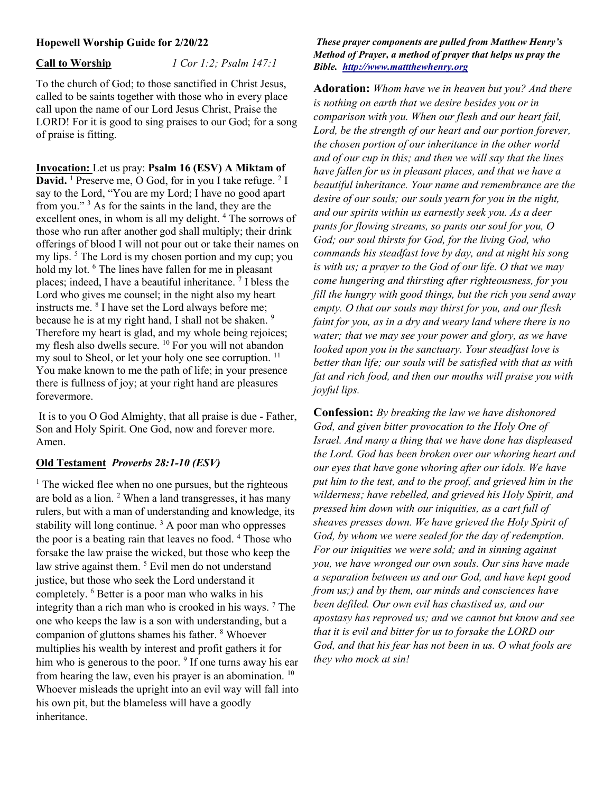# Hopewell Worship Guide for 2/20/22

Call to Worship  $1$  Cor 1:2; Psalm 147:1

To the church of God; to those sanctified in Christ Jesus, called to be saints together with those who in every place call upon the name of our Lord Jesus Christ, Praise the LORD! For it is good to sing praises to our God; for a song of praise is fitting.

Invocation: Let us pray: Psalm 16 (ESV) A Miktam of **David.** <sup>1</sup> Preserve me, O God, for in you I take refuge.  $2I$ say to the Lord, "You are my Lord; I have no good apart from you."<sup>3</sup> As for the saints in the land, they are the excellent ones, in whom is all my delight.<sup>4</sup> The sorrows of those who run after another god shall multiply; their drink offerings of blood I will not pour out or take their names on my lips.<sup>5</sup> The Lord is my chosen portion and my cup; you hold my lot. <sup>6</sup> The lines have fallen for me in pleasant places; indeed, I have a beautiful inheritance.<sup>7</sup> I bless the Lord who gives me counsel; in the night also my heart instructs me. <sup>8</sup> I have set the Lord always before me; because he is at my right hand, I shall not be shaken.<sup>9</sup> Therefore my heart is glad, and my whole being rejoices; my flesh also dwells secure. <sup>10</sup> For you will not abandon my soul to Sheol, or let your holy one see corruption.<sup>11</sup> You make known to me the path of life; in your presence there is fullness of joy; at your right hand are pleasures forevermore.

 It is to you O God Almighty, that all praise is due - Father, Son and Holy Spirit. One God, now and forever more. Amen.

# Old Testament Proverbs 28:1-10 (ESV)

<sup>1</sup> The wicked flee when no one pursues, but the righteous are bold as a lion. <sup>2</sup> When a land transgresses, it has many rulers, but with a man of understanding and knowledge, its stability will long continue.<sup>3</sup> A poor man who oppresses the poor is a beating rain that leaves no food. <sup>4</sup> Those who forsake the law praise the wicked, but those who keep the law strive against them.<sup>5</sup> Evil men do not understand justice, but those who seek the Lord understand it completely. <sup>6</sup> Better is a poor man who walks in his integrity than a rich man who is crooked in his ways.<sup>7</sup> The one who keeps the law is a son with understanding, but a companion of gluttons shames his father. <sup>8</sup> Whoever multiplies his wealth by interest and profit gathers it for him who is generous to the poor. <sup>9</sup> If one turns away his ear from hearing the law, even his prayer is an abomination.<sup>10</sup> Whoever misleads the upright into an evil way will fall into his own pit, but the blameless will have a goodly inheritance.

### These prayer components are pulled from Matthew Henry's Method of Prayer, a method of prayer that helps us pray the Bible. http://www.mattthewhenry.org

Adoration: Whom have we in heaven but you? And there is nothing on earth that we desire besides you or in comparison with you. When our flesh and our heart fail, Lord, be the strength of our heart and our portion forever, the chosen portion of our inheritance in the other world and of our cup in this; and then we will say that the lines have fallen for us in pleasant places, and that we have a beautiful inheritance. Your name and remembrance are the desire of our souls; our souls yearn for you in the night, and our spirits within us earnestly seek you. As a deer pants for flowing streams, so pants our soul for you, O God; our soul thirsts for God, for the living God, who commands his steadfast love by day, and at night his song is with us; a prayer to the God of our life. O that we may come hungering and thirsting after righteousness, for you fill the hungry with good things, but the rich you send away empty. O that our souls may thirst for you, and our flesh faint for you, as in a dry and weary land where there is no water; that we may see your power and glory, as we have looked upon you in the sanctuary. Your steadfast love is better than life; our souls will be satisfied with that as with fat and rich food, and then our mouths will praise you with joyful lips.

Confession: By breaking the law we have dishonored God, and given bitter provocation to the Holy One of Israel. And many a thing that we have done has displeased the Lord. God has been broken over our whoring heart and our eyes that have gone whoring after our idols. We have put him to the test, and to the proof, and grieved him in the wilderness; have rebelled, and grieved his Holy Spirit, and pressed him down with our iniquities, as a cart full of sheaves presses down. We have grieved the Holy Spirit of God, by whom we were sealed for the day of redemption. For our iniquities we were sold; and in sinning against you, we have wronged our own souls. Our sins have made a separation between us and our God, and have kept good from us;) and by them, our minds and consciences have been defiled. Our own evil has chastised us, and our apostasy has reproved us; and we cannot but know and see that it is evil and bitter for us to forsake the LORD our God, and that his fear has not been in us. O what fools are they who mock at sin!